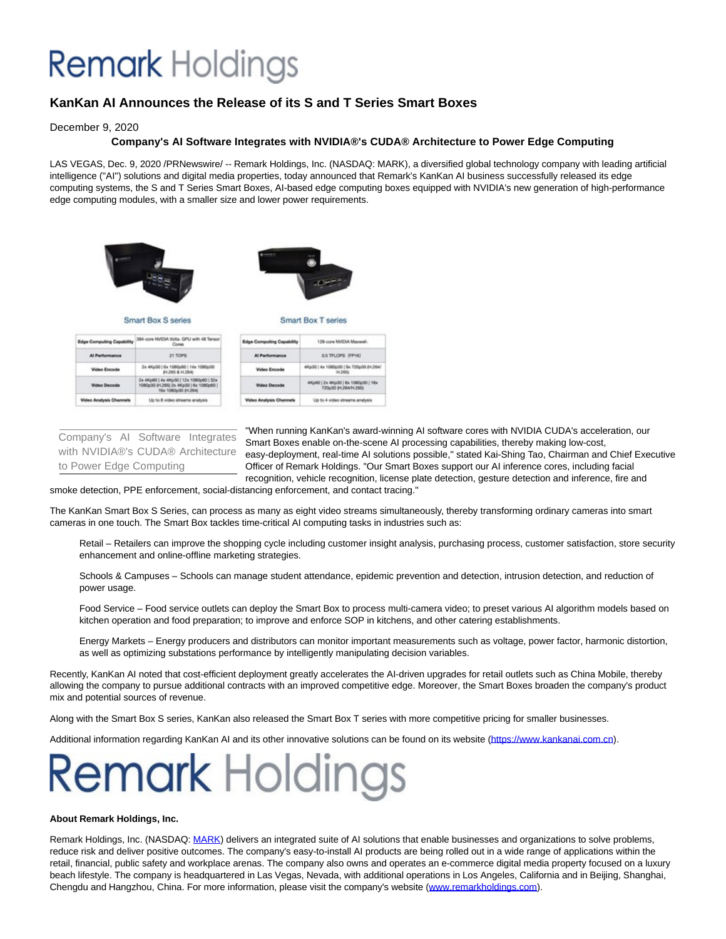## **Remark** Holdings

### **KanKan AI Announces the Release of its S and T Series Smart Boxes**

December 9, 2020

### **Company's AI Software Integrates with NVIDIA®'s CUDA® Architecture to Power Edge Computing**

LAS VEGAS, Dec. 9, 2020 /PRNewswire/ -- Remark Holdings, Inc. (NASDAQ: MARK), a diversified global technology company with leading artificial intelligence ("AI") solutions and digital media properties, today announced that Remark's KanKan AI business successfully released its edge computing systems, the S and T Series Smart Boxes, AI-based edge computing boxes equipped with NVIDIA's new generation of high-performance edge computing modules, with a smaller size and lower power requirements.



| <b>Video Decode</b> | 2x 4Kp60   4x 4Kp30   12x 1080p60   32x<br>1080p30 04.265) 2x 4Kp30   6x 1080p60  <br>16x 1080p30 84,264) |
|---------------------|-----------------------------------------------------------------------------------------------------------|
|                     | Liss to & video sit-                                                                                      |

| Edge Computing Capability      | 126-core NVIDIA Maxwell-                                    |
|--------------------------------|-------------------------------------------------------------|
| <b>Al Parlormance</b>          | <b>G.5 TFLOPS (FP16)</b>                                    |
| <b>Widea Encode</b>            | 4Kp30   4x 1080p30   9x 720p30 84.264/<br>H.265b            |
| <b>Welson Decords</b>          | 4Kp60   2x 4Kp30   8x 1080p30   18x<br>720p30 04.264/H.265) |
| <b>Video Analysis Channels</b> | Up to 4 video streams analysis                              |

Company's AI Software Integrates with NVIDIA®'s CUDA® Architecture to Power Edge Computing

"When running KanKan's award-winning AI software cores with NVIDIA CUDA's acceleration, our Smart Boxes enable on-the-scene AI processing capabilities, thereby making low-cost, easy-deployment, real-time AI solutions possible," stated Kai-Shing Tao, Chairman and Chief Executive Officer of Remark Holdings. "Our Smart Boxes support our AI inference cores, including facial recognition, vehicle recognition, license plate detection, gesture detection and inference, fire and

smoke detection, PPE enforcement, social-distancing enforcement, and contact tracing."

The KanKan Smart Box S Series, can process as many as eight video streams simultaneously, thereby transforming ordinary cameras into smart cameras in one touch. The Smart Box tackles time-critical AI computing tasks in industries such as:

Retail – Retailers can improve the shopping cycle including customer insight analysis, purchasing process, customer satisfaction, store security enhancement and online-offline marketing strategies.

Schools & Campuses – Schools can manage student attendance, epidemic prevention and detection, intrusion detection, and reduction of power usage.

Food Service – Food service outlets can deploy the Smart Box to process multi-camera video; to preset various AI algorithm models based on kitchen operation and food preparation; to improve and enforce SOP in kitchens, and other catering establishments.

Energy Markets – Energy producers and distributors can monitor important measurements such as voltage, power factor, harmonic distortion, as well as optimizing substations performance by intelligently manipulating decision variables.

Recently, KanKan AI noted that cost-efficient deployment greatly accelerates the AI-driven upgrades for retail outlets such as China Mobile, thereby allowing the company to pursue additional contracts with an improved competitive edge. Moreover, the Smart Boxes broaden the company's product mix and potential sources of revenue.

Along with the Smart Box S series, KanKan also released the Smart Box T series with more competitive pricing for smaller businesses.

Additional information regarding KanKan AI and its other innovative solutions can be found on its website [\(https://www.kankanai.com.cn\)](https://c212.net/c/link/?t=0&l=en&o=3007586-1&h=2934266944&u=http%3A%2F%2Fwww.kankanai.com.cn%2F&a=https%3A%2F%2Fwww.kankanai.com.cn).

# **Remark** Holdings

### **About Remark Holdings, Inc.**

Remark Holdings, Inc. (NASDAQ: [MARK\)](https://c212.net/c/link/?t=0&l=en&o=3007586-1&h=256006662&u=http%3A%2F%2Fwww.remarkholdings.com%2F&a=MARK) delivers an integrated suite of AI solutions that enable businesses and organizations to solve problems, reduce risk and deliver positive outcomes. The company's easy-to-install AI products are being rolled out in a wide range of applications within the retail, financial, public safety and workplace arenas. The company also owns and operates an e-commerce digital media property focused on a luxury beach lifestyle. The company is headquartered in Las Vegas, Nevada, with additional operations in Los Angeles, California and in Beijing, Shanghai, Chengdu and Hangzhou, China. For more information, please visit the company's website [\(www.remarkholdings.com\).](https://c212.net/c/link/?t=0&l=en&o=3007586-1&h=2203864764&u=http%3A%2F%2Fwww.remarkholdings.com%2F&a=www.remarkholdings.com)